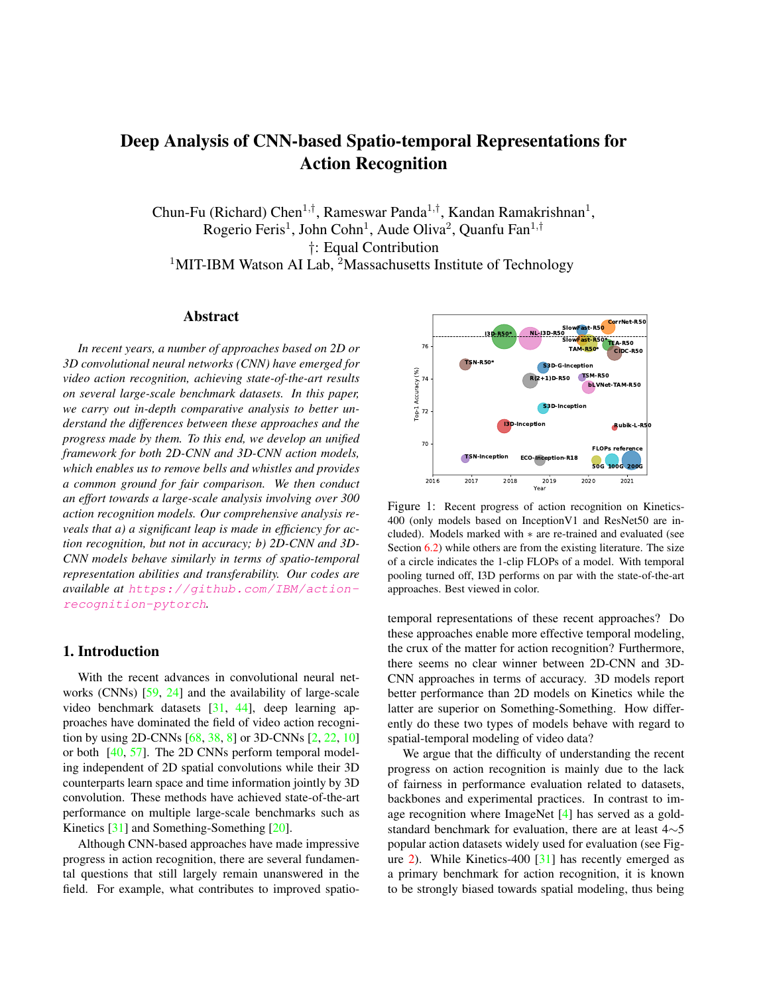# Deep Analysis of CNN-based Spatio-temporal Representations for Action Recognition

Chun-Fu (Richard) Chen<sup>1,†</sup>, Rameswar Panda<sup>1,†</sup>, Kandan Ramakrishnan<sup>1</sup>, Rogerio Feris<sup>1</sup>, John Cohn<sup>1</sup>, Aude Oliva<sup>2</sup>, Quanfu Fan<sup>1,†</sup> †: Equal Contribution <sup>1</sup>MIT-IBM Watson AI Lab, <sup>2</sup>Massachusetts Institute of Technology

#### Abstract

*In recent years, a number of approaches based on 2D or 3D convolutional neural networks (CNN) have emerged for video action recognition, achieving state-of-the-art results on several large-scale benchmark datasets. In this paper, we carry out in-depth comparative analysis to better understand the differences between these approaches and the progress made by them. To this end, we develop an unified framework for both 2D-CNN and 3D-CNN action models, which enables us to remove bells and whistles and provides a common ground for fair comparison. We then conduct an effort towards a large-scale analysis involving over 300 action recognition models. Our comprehensive analysis reveals that a) a significant leap is made in efficiency for action recognition, but not in accuracy; b) 2D-CNN and 3D-CNN models behave similarly in terms of spatio-temporal representation abilities and transferability. Our codes are available at* https://github.com/IBM/actionrecognition-pytorch*.*

# 1. Introduction

With the recent advances in convolutional neural networks (CNNs) [59, 24] and the availability of large-scale video benchmark datasets [31, 44], deep learning approaches have dominated the field of video action recognition by using 2D-CNNs [68, 38, 8] or 3D-CNNs [2, 22, 10] or both [40, 57]. The 2D CNNs perform temporal modeling independent of 2D spatial convolutions while their 3D counterparts learn space and time information jointly by 3D convolution. These methods have achieved state-of-the-art performance on multiple large-scale benchmarks such as Kinetics [31] and Something-Something [20].

Although CNN-based approaches have made impressive progress in action recognition, there are several fundamental questions that still largely remain unanswered in the field. For example, what contributes to improved spatio-



Figure 1: Recent progress of action recognition on Kinetics-400 (only models based on InceptionV1 and ResNet50 are included). Models marked with ∗ are re-trained and evaluated (see Section  $6.2$ ) while others are from the existing literature. The size of a circle indicates the 1-clip FLOPs of a model. With temporal pooling turned off, I3D performs on par with the state-of-the-art approaches. Best viewed in color.

temporal representations of these recent approaches? Do these approaches enable more effective temporal modeling, the crux of the matter for action recognition? Furthermore, there seems no clear winner between 2D-CNN and 3D-CNN approaches in terms of accuracy. 3D models report better performance than 2D models on Kinetics while the latter are superior on Something-Something. How differently do these two types of models behave with regard to spatial-temporal modeling of video data?

We argue that the difficulty of understanding the recent progress on action recognition is mainly due to the lack of fairness in performance evaluation related to datasets, backbones and experimental practices. In contrast to image recognition where ImageNet [4] has served as a goldstandard benchmark for evaluation, there are at least 4∼5 popular action datasets widely used for evaluation (see Figure 2). While Kinetics-400 [31] has recently emerged as a primary benchmark for action recognition, it is known to be strongly biased towards spatial modeling, thus being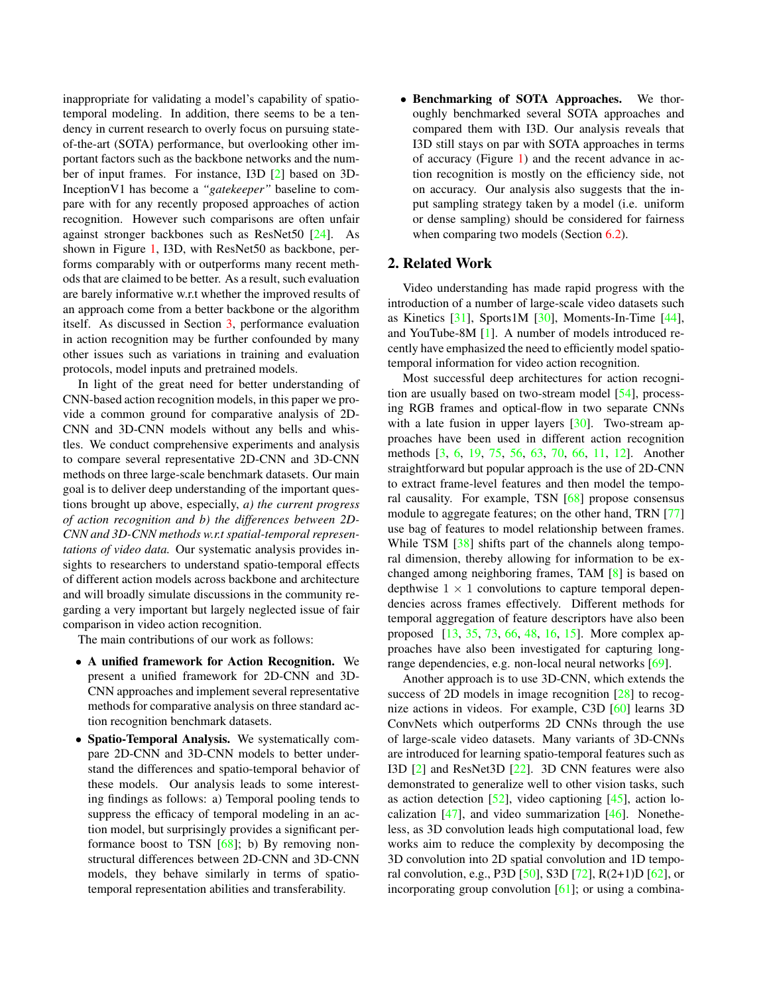inappropriate for validating a model's capability of spatiotemporal modeling. In addition, there seems to be a tendency in current research to overly focus on pursuing stateof-the-art (SOTA) performance, but overlooking other important factors such as the backbone networks and the number of input frames. For instance, I3D [2] based on 3D-InceptionV1 has become a *"gatekeeper"* baseline to compare with for any recently proposed approaches of action recognition. However such comparisons are often unfair against stronger backbones such as ResNet50 [24]. As shown in Figure 1, I3D, with ResNet50 as backbone, performs comparably with or outperforms many recent methods that are claimed to be better. As a result, such evaluation are barely informative w.r.t whether the improved results of an approach come from a better backbone or the algorithm itself. As discussed in Section 3, performance evaluation in action recognition may be further confounded by many other issues such as variations in training and evaluation protocols, model inputs and pretrained models.

In light of the great need for better understanding of CNN-based action recognition models, in this paper we provide a common ground for comparative analysis of 2D-CNN and 3D-CNN models without any bells and whistles. We conduct comprehensive experiments and analysis to compare several representative 2D-CNN and 3D-CNN methods on three large-scale benchmark datasets. Our main goal is to deliver deep understanding of the important questions brought up above, especially, *a) the current progress of action recognition and b) the differences between 2D-CNN and 3D-CNN methods w.r.t spatial-temporal representations of video data.* Our systematic analysis provides insights to researchers to understand spatio-temporal effects of different action models across backbone and architecture and will broadly simulate discussions in the community regarding a very important but largely neglected issue of fair comparison in video action recognition.

The main contributions of our work as follows:

- A unified framework for Action Recognition. We present a unified framework for 2D-CNN and 3D-CNN approaches and implement several representative methods for comparative analysis on three standard action recognition benchmark datasets.
- Spatio-Temporal Analysis. We systematically compare 2D-CNN and 3D-CNN models to better understand the differences and spatio-temporal behavior of these models. Our analysis leads to some interesting findings as follows: a) Temporal pooling tends to suppress the efficacy of temporal modeling in an action model, but surprisingly provides a significant performance boost to TSN [68]; b) By removing nonstructural differences between 2D-CNN and 3D-CNN models, they behave similarly in terms of spatiotemporal representation abilities and transferability.

• Benchmarking of SOTA Approaches. We thoroughly benchmarked several SOTA approaches and compared them with I3D. Our analysis reveals that I3D still stays on par with SOTA approaches in terms of accuracy (Figure 1) and the recent advance in action recognition is mostly on the efficiency side, not on accuracy. Our analysis also suggests that the input sampling strategy taken by a model (i.e. uniform or dense sampling) should be considered for fairness when comparing two models (Section 6.2).

#### 2. Related Work

Video understanding has made rapid progress with the introduction of a number of large-scale video datasets such as Kinetics [31], Sports1M [30], Moments-In-Time [44], and YouTube-8M [1]. A number of models introduced recently have emphasized the need to efficiently model spatiotemporal information for video action recognition.

Most successful deep architectures for action recognition are usually based on two-stream model [54], processing RGB frames and optical-flow in two separate CNNs with a late fusion in upper layers [30]. Two-stream approaches have been used in different action recognition methods [3, 6, 19, 75, 56, 63, 70, 66, 11, 12]. Another straightforward but popular approach is the use of 2D-CNN to extract frame-level features and then model the temporal causality. For example, TSN [68] propose consensus module to aggregate features; on the other hand, TRN [77] use bag of features to model relationship between frames. While TSM [38] shifts part of the channels along temporal dimension, thereby allowing for information to be exchanged among neighboring frames, TAM [8] is based on depthwise  $1 \times 1$  convolutions to capture temporal dependencies across frames effectively. Different methods for temporal aggregation of feature descriptors have also been proposed [13, 35, 73, 66, 48, 16, 15]. More complex approaches have also been investigated for capturing longrange dependencies, e.g. non-local neural networks [69].

Another approach is to use 3D-CNN, which extends the success of 2D models in image recognition [28] to recognize actions in videos. For example, C3D [60] learns 3D ConvNets which outperforms 2D CNNs through the use of large-scale video datasets. Many variants of 3D-CNNs are introduced for learning spatio-temporal features such as I3D [2] and ResNet3D [22]. 3D CNN features were also demonstrated to generalize well to other vision tasks, such as action detection  $[52]$ , video captioning  $[45]$ , action localization  $[47]$ , and video summarization  $[46]$ . Nonetheless, as 3D convolution leads high computational load, few works aim to reduce the complexity by decomposing the 3D convolution into 2D spatial convolution and 1D temporal convolution, e.g., P3D [50], S3D [72], R(2+1)D [62], or incorporating group convolution [61]; or using a combina-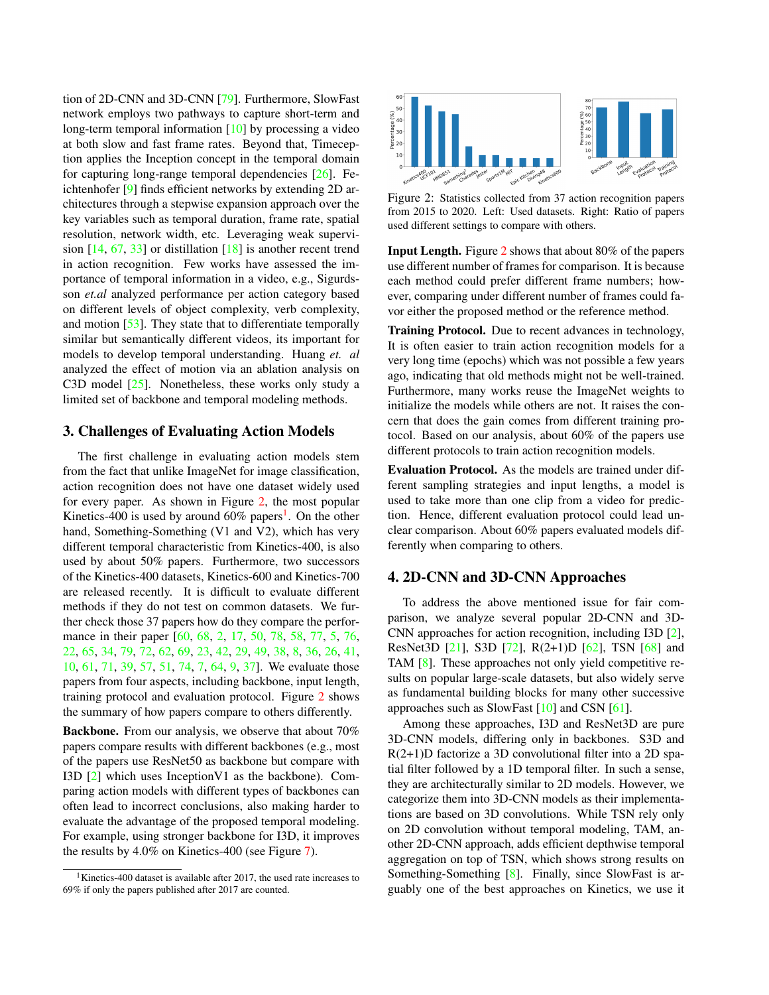tion of 2D-CNN and 3D-CNN [79]. Furthermore, SlowFast network employs two pathways to capture short-term and long-term temporal information [10] by processing a video at both slow and fast frame rates. Beyond that, Timeception applies the Inception concept in the temporal domain for capturing long-range temporal dependencies  $[26]$ . Feichtenhofer [9] finds efficient networks by extending 2D architectures through a stepwise expansion approach over the key variables such as temporal duration, frame rate, spatial resolution, network width, etc. Leveraging weak supervision [14, 67, 33] or distillation [18] is another recent trend in action recognition. Few works have assessed the importance of temporal information in a video, e.g., Sigurdsson *et.al* analyzed performance per action category based on different levels of object complexity, verb complexity, and motion [53]. They state that to differentiate temporally similar but semantically different videos, its important for models to develop temporal understanding. Huang *et. al* analyzed the effect of motion via an ablation analysis on C3D model [25]. Nonetheless, these works only study a limited set of backbone and temporal modeling methods.

#### 3. Challenges of Evaluating Action Models

The first challenge in evaluating action models stem from the fact that unlike ImageNet for image classification, action recognition does not have one dataset widely used for every paper. As shown in Figure 2, the most popular Kinetics-400 is used by around  $60\%$  papers<sup>1</sup>. On the other hand, Something-Something (V1 and V2), which has very different temporal characteristic from Kinetics-400, is also used by about 50% papers. Furthermore, two successors of the Kinetics-400 datasets, Kinetics-600 and Kinetics-700 are released recently. It is difficult to evaluate different methods if they do not test on common datasets. We further check those 37 papers how do they compare the performance in their paper [60, 68, 2, 17, 50, 78, 58, 77, 5, 76, 22, 65, 34, 79, 72, 62, 69, 23, 42, 29, 49, 38, 8, 36, 26, 41, 10, 61, 71, 39, 57, 51, 74, 7, 64, 9, 37]. We evaluate those papers from four aspects, including backbone, input length, training protocol and evaluation protocol. Figure 2 shows the summary of how papers compare to others differently.

Backbone. From our analysis, we observe that about 70% papers compare results with different backbones (e.g., most of the papers use ResNet50 as backbone but compare with I3D [2] which uses InceptionV1 as the backbone). Comparing action models with different types of backbones can often lead to incorrect conclusions, also making harder to evaluate the advantage of the proposed temporal modeling. For example, using stronger backbone for I3D, it improves the results by 4.0% on Kinetics-400 (see Figure 7).



Figure 2: Statistics collected from 37 action recognition papers from 2015 to 2020. Left: Used datasets. Right: Ratio of papers used different settings to compare with others.

Input Length. Figure 2 shows that about 80% of the papers use different number of frames for comparison. It is because each method could prefer different frame numbers; however, comparing under different number of frames could favor either the proposed method or the reference method.

Training Protocol. Due to recent advances in technology, It is often easier to train action recognition models for a very long time (epochs) which was not possible a few years ago, indicating that old methods might not be well-trained. Furthermore, many works reuse the ImageNet weights to initialize the models while others are not. It raises the concern that does the gain comes from different training protocol. Based on our analysis, about 60% of the papers use different protocols to train action recognition models.

Evaluation Protocol. As the models are trained under different sampling strategies and input lengths, a model is used to take more than one clip from a video for prediction. Hence, different evaluation protocol could lead unclear comparison. About 60% papers evaluated models differently when comparing to others.

#### 4. 2D-CNN and 3D-CNN Approaches

To address the above mentioned issue for fair comparison, we analyze several popular 2D-CNN and 3D-CNN approaches for action recognition, including I3D [2], ResNet3D [21], S3D [72], R(2+1)D [62], TSN [68] and TAM [8]. These approaches not only yield competitive results on popular large-scale datasets, but also widely serve as fundamental building blocks for many other successive approaches such as SlowFast  $[10]$  and CSN  $[61]$ .

Among these approaches, I3D and ResNet3D are pure 3D-CNN models, differing only in backbones. S3D and R(2+1)D factorize a 3D convolutional filter into a 2D spatial filter followed by a 1D temporal filter. In such a sense, they are architecturally similar to 2D models. However, we categorize them into 3D-CNN models as their implementations are based on 3D convolutions. While TSN rely only on 2D convolution without temporal modeling, TAM, another 2D-CNN approach, adds efficient depthwise temporal aggregation on top of TSN, which shows strong results on Something-Something [8]. Finally, since SlowFast is arguably one of the best approaches on Kinetics, we use it

<sup>&</sup>lt;sup>1</sup>Kinetics-400 dataset is available after 2017, the used rate increases to 69% if only the papers published after 2017 are counted.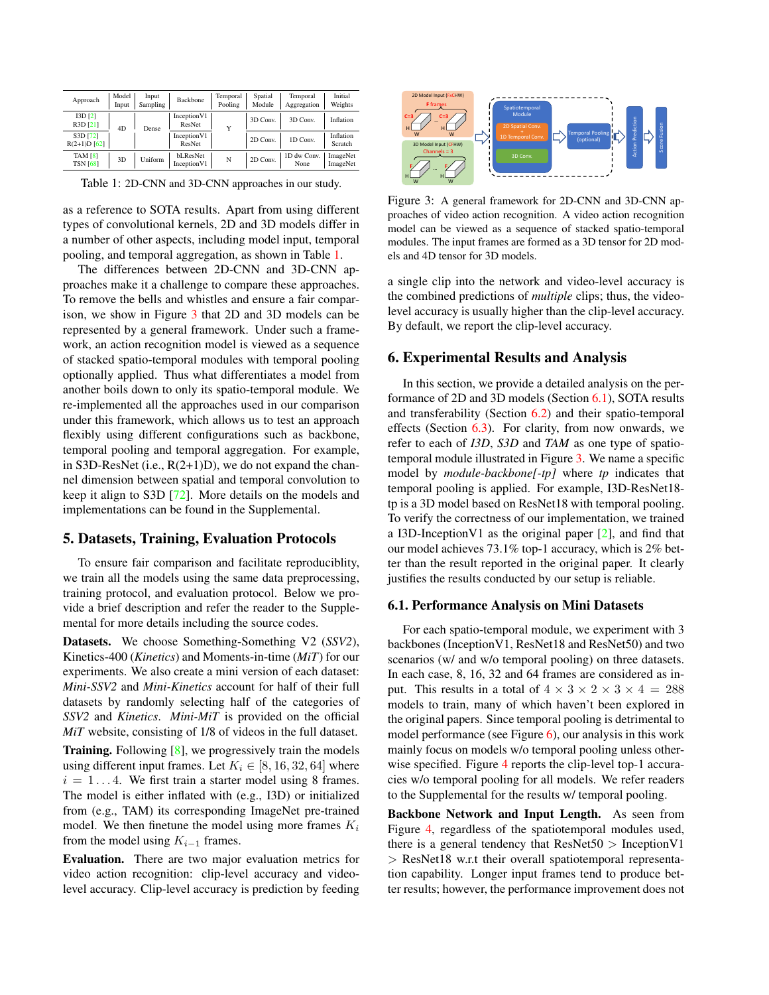| Approach                     | Model<br>Input | Input<br>Sampling | <b>Backbone</b>          | Temporal<br>Pooling | Spatial<br>Module | Temporal<br>Aggregation | Initial<br>Weights   |
|------------------------------|----------------|-------------------|--------------------------|---------------------|-------------------|-------------------------|----------------------|
| I3D[2]<br>R3D [21]           | 4 <sub>D</sub> | Dense             | Inception V1<br>ResNet   | Y                   | 3D Conv.          | 3D Conv.                | Inflation            |
| S3D [72]<br>$R(2+1)D [62]$   |                |                   | Inception V1<br>ResNet   |                     | 2D Conv.          | 1D Conv.                | Inflation<br>Scratch |
| TAM $[8]$<br><b>TSN [68]</b> | 3D             | Uniform           | bLResNet<br>Inception V1 | N                   | 2D Conv.          | 1D dw Conv.<br>None     | ImageNet<br>ImageNet |

Table 1: 2D-CNN and 3D-CNN approaches in our study.

as a reference to SOTA results. Apart from using different types of convolutional kernels, 2D and 3D models differ in a number of other aspects, including model input, temporal pooling, and temporal aggregation, as shown in Table 1.

The differences between 2D-CNN and 3D-CNN approaches make it a challenge to compare these approaches. To remove the bells and whistles and ensure a fair comparison, we show in Figure 3 that 2D and 3D models can be represented by a general framework. Under such a framework, an action recognition model is viewed as a sequence of stacked spatio-temporal modules with temporal pooling optionally applied. Thus what differentiates a model from another boils down to only its spatio-temporal module. We re-implemented all the approaches used in our comparison under this framework, which allows us to test an approach flexibly using different configurations such as backbone, temporal pooling and temporal aggregation. For example, in S3D-ResNet (i.e.,  $R(2+1)D$ ), we do not expand the channel dimension between spatial and temporal convolution to keep it align to S3D [72]. More details on the models and implementations can be found in the Supplemental.

## 5. Datasets, Training, Evaluation Protocols

To ensure fair comparison and facilitate reproduciblity, we train all the models using the same data preprocessing, training protocol, and evaluation protocol. Below we provide a brief description and refer the reader to the Supplemental for more details including the source codes.

Datasets. We choose Something-Something V2 (*SSV2*), Kinetics-400 (*Kinetics*) and Moments-in-time (*MiT*) for our experiments. We also create a mini version of each dataset: *Mini-SSV2* and *Mini-Kinetics* account for half of their full datasets by randomly selecting half of the categories of *SSV2* and *Kinetics*. *Mini-MiT* is provided on the official *MiT* website, consisting of 1/8 of videos in the full dataset.

Training. Following [8], we progressively train the models using different input frames. Let  $K_i \in [8, 16, 32, 64]$  where  $i = 1...4$ . We first train a starter model using 8 frames. The model is either inflated with (e.g., I3D) or initialized from (e.g., TAM) its corresponding ImageNet pre-trained model. We then finetune the model using more frames  $K_i$ from the model using  $K_{i-1}$  frames.

Evaluation. There are two major evaluation metrics for video action recognition: clip-level accuracy and videolevel accuracy. Clip-level accuracy is prediction by feeding



Figure 3: A general framework for 2D-CNN and 3D-CNN approaches of video action recognition. A video action recognition model can be viewed as a sequence of stacked spatio-temporal modules. The input frames are formed as a 3D tensor for 2D models and 4D tensor for 3D models.

a single clip into the network and video-level accuracy is the combined predictions of *multiple* clips; thus, the videolevel accuracy is usually higher than the clip-level accuracy. By default, we report the clip-level accuracy.

## 6. Experimental Results and Analysis

In this section, we provide a detailed analysis on the performance of 2D and 3D models (Section 6.1), SOTA results and transferability (Section 6.2) and their spatio-temporal effects (Section 6.3). For clarity, from now onwards, we refer to each of *I3D*, *S3D* and *TAM* as one type of spatiotemporal module illustrated in Figure 3. We name a specific model by *module-backbone[-tp]* where *tp* indicates that temporal pooling is applied. For example, I3D-ResNet18 tp is a 3D model based on ResNet18 with temporal pooling. To verify the correctness of our implementation, we trained a I3D-Inception V1 as the original paper  $[2]$ , and find that our model achieves 73.1% top-1 accuracy, which is 2% better than the result reported in the original paper. It clearly justifies the results conducted by our setup is reliable.

#### 6.1. Performance Analysis on Mini Datasets

For each spatio-temporal module, we experiment with 3 backbones (InceptionV1, ResNet18 and ResNet50) and two scenarios (w/ and w/o temporal pooling) on three datasets. In each case, 8, 16, 32 and 64 frames are considered as input. This results in a total of  $4 \times 3 \times 2 \times 3 \times 4 = 288$ models to train, many of which haven't been explored in the original papers. Since temporal pooling is detrimental to model performance (see Figure  $6$ ), our analysis in this work mainly focus on models w/o temporal pooling unless otherwise specified. Figure 4 reports the clip-level top-1 accuracies w/o temporal pooling for all models. We refer readers to the Supplemental for the results w/ temporal pooling.

Backbone Network and Input Length. As seen from Figure 4, regardless of the spatiotemporal modules used, there is a general tendency that  $ResNet50 > InceptionV1$ > ResNet18 w.r.t their overall spatiotemporal representation capability. Longer input frames tend to produce better results; however, the performance improvement does not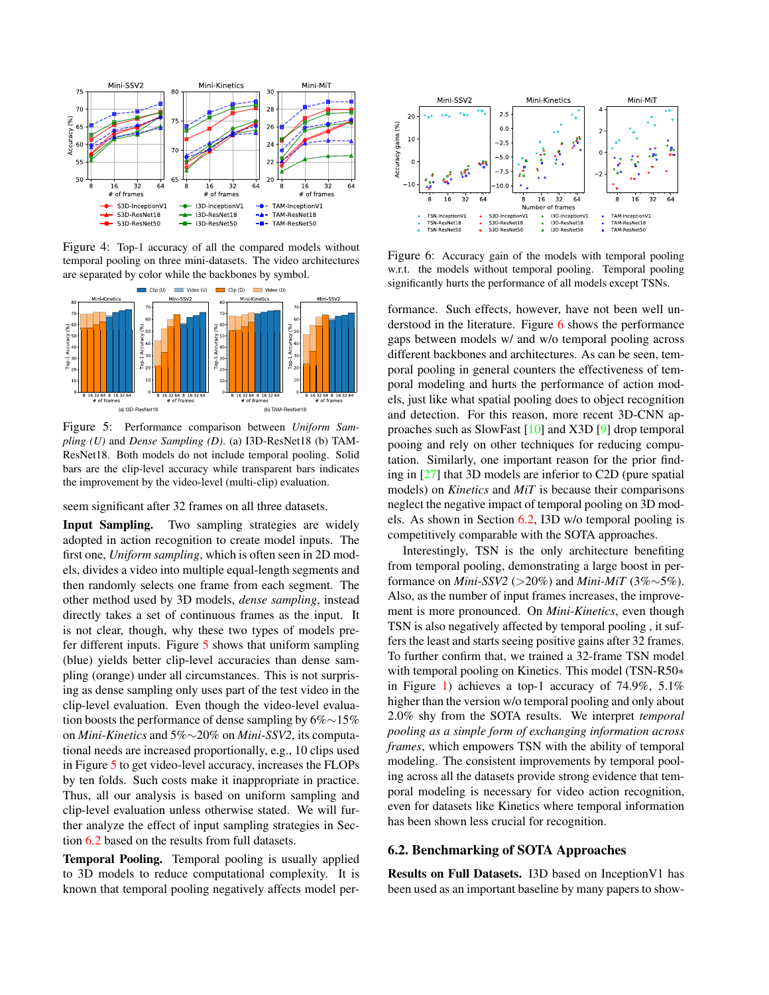

Figure 4: Top-1 accuracy of all the compared models without temporal pooling on three mini-datasets. The video architectures are separated by color while the backbones by symbol.



Figure 5: Performance comparison between *Uniform Sampling (U)* and *Dense Sampling (D)*. (a) I3D-ResNet18 (b) TAM-ResNet18. Both models do not include temporal pooling. Solid bars are the clip-level accuracy while transparent bars indicates the improvement by the video-level (multi-clip) evaluation.

seem significant after 32 frames on all three datasets.

Input Sampling. Two sampling strategies are widely adopted in action recognition to create model inputs. The first one, *Uniform sampling*, which is often seen in 2D models, divides a video into multiple equal-length segments and then randomly selects one frame from each segment. The other method used by 3D models, *dense sampling*, instead directly takes a set of continuous frames as the input. It is not clear, though, why these two types of models prefer different inputs. Figure 5 shows that uniform sampling (blue) yields better clip-level accuracies than dense sampling (orange) under all circumstances. This is not surprising as dense sampling only uses part of the test video in the clip-level evaluation. Even though the video-level evaluation boosts the performance of dense sampling by 6%∼15% on *Mini-Kinetics* and 5%∼20% on *Mini-SSV2*, its computational needs are increased proportionally, e.g., 10 clips used in Figure 5 to get video-level accuracy, increases the FLOPs by ten folds. Such costs make it inappropriate in practice. Thus, all our analysis is based on uniform sampling and clip-level evaluation unless otherwise stated. We will further analyze the effect of input sampling strategies in Section 6.2 based on the results from full datasets.

Temporal Pooling. Temporal pooling is usually applied to 3D models to reduce computational complexity. It is known that temporal pooling negatively affects model per-



Figure 6: Accuracy gain of the models with temporal pooling w.r.t. the models without temporal pooling. Temporal pooling significantly hurts the performance of all models except TSNs.

formance. Such effects, however, have not been well understood in the literature. Figure 6 shows the performance gaps between models w/ and w/o temporal pooling across different backbones and architectures. As can be seen, temporal pooling in general counters the effectiveness of temporal modeling and hurts the performance of action models, just like what spatial pooling does to object recognition and detection. For this reason, more recent 3D-CNN approaches such as SlowFast [10] and X3D [9] drop temporal pooing and rely on other techniques for reducing computation. Similarly, one important reason for the prior finding in [27] that 3D models are inferior to C2D (pure spatial models) on *Kinetics* and *MiT* is because their comparisons neglect the negative impact of temporal pooling on 3D models. As shown in Section 6.2, I3D w/o temporal pooling is competitively comparable with the SOTA approaches.

Interestingly, TSN is the only architecture benefiting from temporal pooling, demonstrating a large boost in performance on *Mini-SSV2* (>20%) and *Mini-MiT* (3%∼5%). Also, as the number of input frames increases, the improvement is more pronounced. On *Mini-Kinetics*, even though TSN is also negatively affected by temporal pooling , it suffers the least and starts seeing positive gains after 32 frames. To further confirm that, we trained a 32-frame TSN model with temporal pooling on Kinetics. This model (TSN-R50∗ in Figure 1) achieves a top-1 accuracy of 74.9%, 5.1% higher than the version w/o temporal pooling and only about 2.0% shy from the SOTA results. We interpret *temporal pooling as a simple form of exchanging information across frames*, which empowers TSN with the ability of temporal modeling. The consistent improvements by temporal pooling across all the datasets provide strong evidence that temporal modeling is necessary for video action recognition, even for datasets like Kinetics where temporal information has been shown less crucial for recognition.

## 6.2. Benchmarking of SOTA Approaches

Results on Full Datasets. I3D based on InceptionV1 has been used as an important baseline by many papers to show-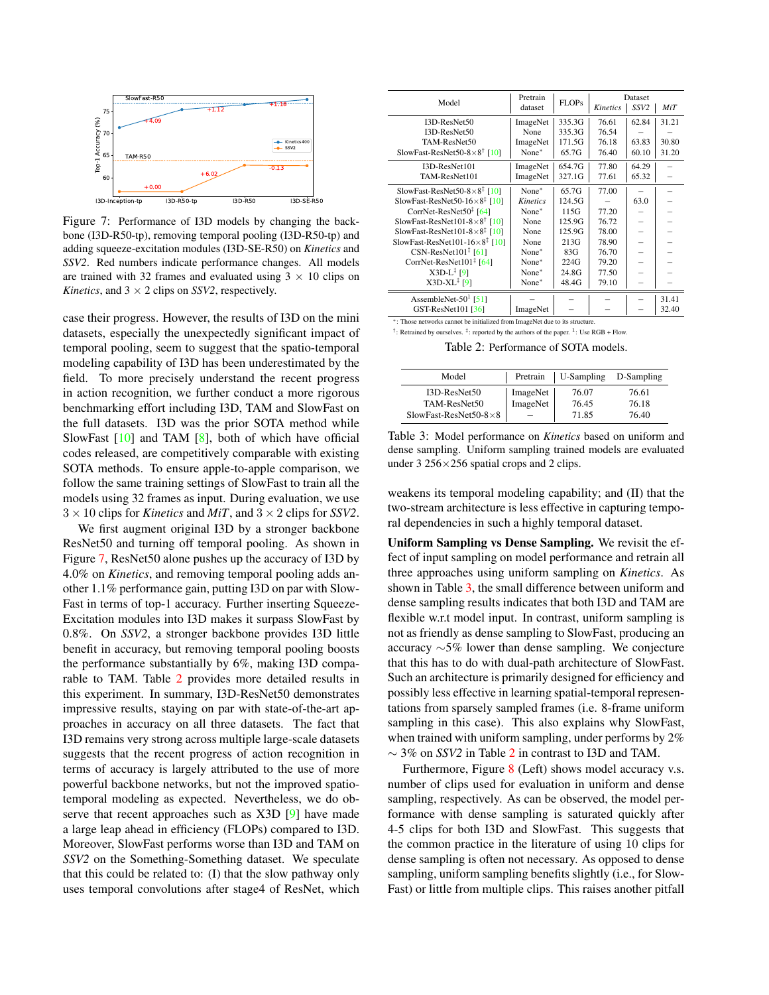

Figure 7: Performance of I3D models by changing the backbone (I3D-R50-tp), removing temporal pooling (I3D-R50-tp) and adding squeeze-excitation modules (I3D-SE-R50) on *Kinetics* and *SSV2*. Red numbers indicate performance changes. All models are trained with 32 frames and evaluated using  $3 \times 10$  clips on *Kinetics*, and  $3 \times 2$  clips on *SSV2*, respectively.

case their progress. However, the results of I3D on the mini datasets, especially the unexpectedly significant impact of temporal pooling, seem to suggest that the spatio-temporal modeling capability of I3D has been underestimated by the field. To more precisely understand the recent progress in action recognition, we further conduct a more rigorous benchmarking effort including I3D, TAM and SlowFast on the full datasets. I3D was the prior SOTA method while SlowFast [10] and TAM [8], both of which have official codes released, are competitively comparable with existing SOTA methods. To ensure apple-to-apple comparison, we follow the same training settings of SlowFast to train all the models using 32 frames as input. During evaluation, we use  $3 \times 10$  clips for *Kinetics* and *MiT*, and  $3 \times 2$  clips for *SSV2*.

We first augment original I3D by a stronger backbone ResNet50 and turning off temporal pooling. As shown in Figure 7, ResNet50 alone pushes up the accuracy of I3D by 4.0% on *Kinetics*, and removing temporal pooling adds another 1.1% performance gain, putting I3D on par with Slow-Fast in terms of top-1 accuracy. Further inserting Squeeze-Excitation modules into I3D makes it surpass SlowFast by 0.8%. On *SSV2*, a stronger backbone provides I3D little benefit in accuracy, but removing temporal pooling boosts the performance substantially by 6%, making I3D comparable to TAM. Table 2 provides more detailed results in this experiment. In summary, I3D-ResNet50 demonstrates impressive results, staying on par with state-of-the-art approaches in accuracy on all three datasets. The fact that I3D remains very strong across multiple large-scale datasets suggests that the recent progress of action recognition in terms of accuracy is largely attributed to the use of more powerful backbone networks, but not the improved spatiotemporal modeling as expected. Nevertheless, we do observe that recent approaches such as X3D [9] have made a large leap ahead in efficiency (FLOPs) compared to I3D. Moreover, SlowFast performs worse than I3D and TAM on *SSV2* on the Something-Something dataset. We speculate that this could be related to: (I) that the slow pathway only uses temporal convolutions after stage4 of ResNet, which

|                                                    | Pretrain        |              | Dataset  |                  |       |  |
|----------------------------------------------------|-----------------|--------------|----------|------------------|-------|--|
| Model                                              | dataset         | <b>FLOPs</b> | Kinetics | SSV <sub>2</sub> | MiT   |  |
| I3D-ResNet50                                       | ImageNet        | 335.3G       | 76.61    | 62.84            | 31.21 |  |
| I3D-ResNet50                                       | None            | 335.3G       | 76.54    |                  |       |  |
| TAM-ResNet50                                       | ImageNet        | 171.5G       | 76.18    | 63.83            | 30.80 |  |
| SlowFast-ResNet50-8 $\times$ 8 <sup>†</sup> [10]   | None*           | 65.7G        | 76.40    | 60.10            | 31.20 |  |
| I3D-ResNet101                                      | ImageNet        | 654.7G       | 77.80    | 64.29            |       |  |
| TAM-ResNet101                                      | ImageNet        | 327.1G       | 77.61    | 65.32            |       |  |
| SlowFast-ResNet50-8 $\times$ 8 <sup>‡</sup> [10]   | None*           | 65.7G        | 77.00    |                  |       |  |
| SlowFast-ResNet50-16 $\times$ 8 <sup>‡</sup> [10]  | <b>Kinetics</b> | 124.5G       |          | 63.0             |       |  |
| CorrNet-ResNet50 <sup>‡</sup> [64]                 | None*           | 115G         | 77.20    |                  |       |  |
| SlowFast-ResNet101-8 $\times$ 8 <sup>†</sup> [10]  | None            | 125.9G       | 76.72    |                  |       |  |
| SlowFast-ResNet101-8 $\times$ 8 <sup>‡</sup> [10]  | None            | 125.9G       | 78.00    |                  |       |  |
| SlowFast-ResNet101-16 $\times$ 8 <sup>‡</sup> [10] | None            | 213G         | 78.90    |                  |       |  |
| $CSN-ResNet101^{\ddagger}$ [61]                    | None*           | 83G          | 76.70    |                  |       |  |
| CorrNet-ResNet101 <sup>‡</sup> [64]                | None*           | 224G         | 79.20    |                  |       |  |
| $X3D-L$ <sup><math>\ddagger</math></sup> [9]       | None*           | 24.8G        | 77.50    |                  |       |  |
| $X3D-XL^{\ddagger}$ [9]                            | None*           | 48.4G        | 79.10    |                  |       |  |
| AssembleNet-50 $1$ [51]                            |                 |              |          |                  | 31.41 |  |
| GST-ResNet101 [36]                                 | ImageNet        |              |          |                  | 32.40 |  |

<sup>∗</sup>: Those networks cannot be initialized from ImageNet due to its structure. <sup>†</sup>: Retrained by ourselves. <sup>‡</sup>: reported by the authors of the paper. <sup>1</sup>: Use RGB + Flow.

Table 2: Performance of SOTA models.

| Model                          |          | Pretrain   U-Sampling | D-Sampling |  |
|--------------------------------|----------|-----------------------|------------|--|
| $I3D-ResNet50$                 | ImageNet | 76.07                 | 76.61      |  |
| TAM-ResNet50                   | ImageNet | 76.45                 | 76.18      |  |
| SlowFast-ResNet50-8 $\times$ 8 |          | 71.85                 | 76.40      |  |

Table 3: Model performance on *Kinetics* based on uniform and dense sampling. Uniform sampling trained models are evaluated under 3 256×256 spatial crops and 2 clips.

weakens its temporal modeling capability; and (II) that the two-stream architecture is less effective in capturing temporal dependencies in such a highly temporal dataset.

Uniform Sampling vs Dense Sampling. We revisit the effect of input sampling on model performance and retrain all three approaches using uniform sampling on *Kinetics*. As shown in Table 3, the small difference between uniform and dense sampling results indicates that both I3D and TAM are flexible w.r.t model input. In contrast, uniform sampling is not as friendly as dense sampling to SlowFast, producing an accuracy ∼5% lower than dense sampling. We conjecture that this has to do with dual-path architecture of SlowFast. Such an architecture is primarily designed for efficiency and possibly less effective in learning spatial-temporal representations from sparsely sampled frames (i.e. 8-frame uniform sampling in this case). This also explains why SlowFast, when trained with uniform sampling, under performs by 2% ∼ 3% on *SSV2* in Table 2 in contrast to I3D and TAM.

Furthermore, Figure 8 (Left) shows model accuracy v.s. number of clips used for evaluation in uniform and dense sampling, respectively. As can be observed, the model performance with dense sampling is saturated quickly after 4-5 clips for both I3D and SlowFast. This suggests that the common practice in the literature of using 10 clips for dense sampling is often not necessary. As opposed to dense sampling, uniform sampling benefits slightly (i.e., for Slow-Fast) or little from multiple clips. This raises another pitfall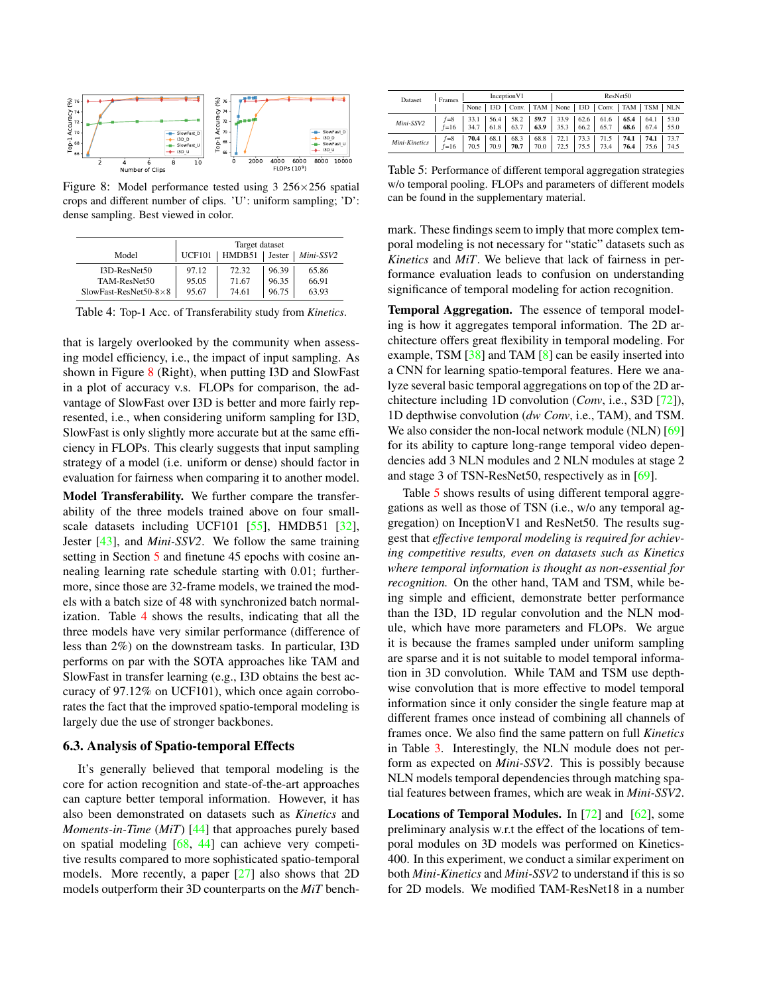

Figure 8: Model performance tested using 3 256×256 spatial crops and different number of clips. 'U': uniform sampling; 'D': dense sampling. Best viewed in color.

|                                |               | Target dataset  |       |           |
|--------------------------------|---------------|-----------------|-------|-----------|
| Model                          | <b>UCF101</b> | HMDB51   Jester |       | Mini-SSV2 |
| I3D-ResNet50                   | 97.12         | 72.32           | 96.39 | 65.86     |
| TAM-ResNet50                   | 95.05         | 71.67           | 96.35 | 66.91     |
| SlowFast-ResNet50-8 $\times$ 8 | 95.67         | 74.61           | 96.75 | 63.93     |

Table 4: Top-1 Acc. of Transferability study from *Kinetics*.

that is largely overlooked by the community when assessing model efficiency, i.e., the impact of input sampling. As shown in Figure 8 (Right), when putting I3D and SlowFast in a plot of accuracy v.s. FLOPs for comparison, the advantage of SlowFast over I3D is better and more fairly represented, i.e., when considering uniform sampling for I3D, SlowFast is only slightly more accurate but at the same efficiency in FLOPs. This clearly suggests that input sampling strategy of a model (i.e. uniform or dense) should factor in evaluation for fairness when comparing it to another model.

Model Transferability. We further compare the transferability of the three models trained above on four smallscale datasets including UCF101 [55], HMDB51 [32], Jester [43], and *Mini-SSV2*. We follow the same training setting in Section 5 and finetune 45 epochs with cosine annealing learning rate schedule starting with 0.01; furthermore, since those are 32-frame models, we trained the models with a batch size of 48 with synchronized batch normalization. Table 4 shows the results, indicating that all the three models have very similar performance (difference of less than 2%) on the downstream tasks. In particular, I3D performs on par with the SOTA approaches like TAM and SlowFast in transfer learning (e.g., I3D obtains the best accuracy of 97.12% on UCF101), which once again corroborates the fact that the improved spatio-temporal modeling is largely due the use of stronger backbones.

#### 6.3. Analysis of Spatio-temporal Effects

It's generally believed that temporal modeling is the core for action recognition and state-of-the-art approaches can capture better temporal information. However, it has also been demonstrated on datasets such as *Kinetics* and *Moments-in-Time* (*MiT*) [44] that approaches purely based on spatial modeling [68, 44] can achieve very competitive results compared to more sophisticated spatio-temporal models. More recently, a paper [27] also shows that 2D models outperform their 3D counterparts on the *MiT* bench-

| Dataset       | Frames              | Inception V1 |              |                                                          | ResNet50     |                                                                                         |              |                     |              |              |              |
|---------------|---------------------|--------------|--------------|----------------------------------------------------------|--------------|-----------------------------------------------------------------------------------------|--------------|---------------------|--------------|--------------|--------------|
|               |                     | None         |              | I3D   Conv.   TAM   None   I3D   Conv.   TAM   TSM   NLN |              |                                                                                         |              |                     |              |              |              |
| Mini-SSV2     | $f = 8$<br>$f = 16$ | 33.1<br>34.7 | 56.4<br>61.8 | 58.2<br>63.7                                             |              | $\begin{array}{ c c c } \hline 59.7 & 33.9 \\ \hline 63.9 & 35.3 \\ \hline \end{array}$ | 66.2         | $62.6$ 61.6<br>65.7 | 65.4<br>68.6 | 64.1<br>67.4 | 53.0<br>55.0 |
| Mini-Kinetics | $f = 8$<br>$f = 16$ | 70.4<br>70.5 | 68.1<br>70.9 | 68.3<br>70.7                                             | 68.8<br>70.0 | 72.1<br>72.5                                                                            | 73.3<br>75.5 | 71.5<br>73.4        | 74.1<br>76.4 | 74.1<br>75.6 | 73.7<br>74.5 |

Table 5: Performance of different temporal aggregation strategies w/o temporal pooling. FLOPs and parameters of different models can be found in the supplementary material.

mark. These findings seem to imply that more complex temporal modeling is not necessary for "static" datasets such as *Kinetics* and *MiT*. We believe that lack of fairness in performance evaluation leads to confusion on understanding significance of temporal modeling for action recognition.

Temporal Aggregation. The essence of temporal modeling is how it aggregates temporal information. The 2D architecture offers great flexibility in temporal modeling. For example, TSM  $[38]$  and TAM  $[8]$  can be easily inserted into a CNN for learning spatio-temporal features. Here we analyze several basic temporal aggregations on top of the 2D architecture including 1D convolution (*Conv*, i.e., S3D [72]), 1D depthwise convolution (*dw Conv*, i.e., TAM), and TSM. We also consider the non-local network module (NLN) [69] for its ability to capture long-range temporal video dependencies add 3 NLN modules and 2 NLN modules at stage 2 and stage 3 of TSN-ResNet50, respectively as in [69].

Table 5 shows results of using different temporal aggregations as well as those of TSN (i.e., w/o any temporal aggregation) on InceptionV1 and ResNet50. The results suggest that *effective temporal modeling is required for achieving competitive results, even on datasets such as Kinetics where temporal information is thought as non-essential for recognition.* On the other hand, TAM and TSM, while being simple and efficient, demonstrate better performance than the I3D, 1D regular convolution and the NLN module, which have more parameters and FLOPs. We argue it is because the frames sampled under uniform sampling are sparse and it is not suitable to model temporal information in 3D convolution. While TAM and TSM use depthwise convolution that is more effective to model temporal information since it only consider the single feature map at different frames once instead of combining all channels of frames once. We also find the same pattern on full *Kinetics* in Table 3. Interestingly, the NLN module does not perform as expected on *Mini-SSV2*. This is possibly because NLN models temporal dependencies through matching spatial features between frames, which are weak in *Mini-SSV2*.

**Locations of Temporal Modules.** In  $[72]$  and  $[62]$ , some preliminary analysis w.r.t the effect of the locations of temporal modules on 3D models was performed on Kinetics-400. In this experiment, we conduct a similar experiment on both *Mini-Kinetics* and *Mini-SSV2* to understand if this is so for 2D models. We modified TAM-ResNet18 in a number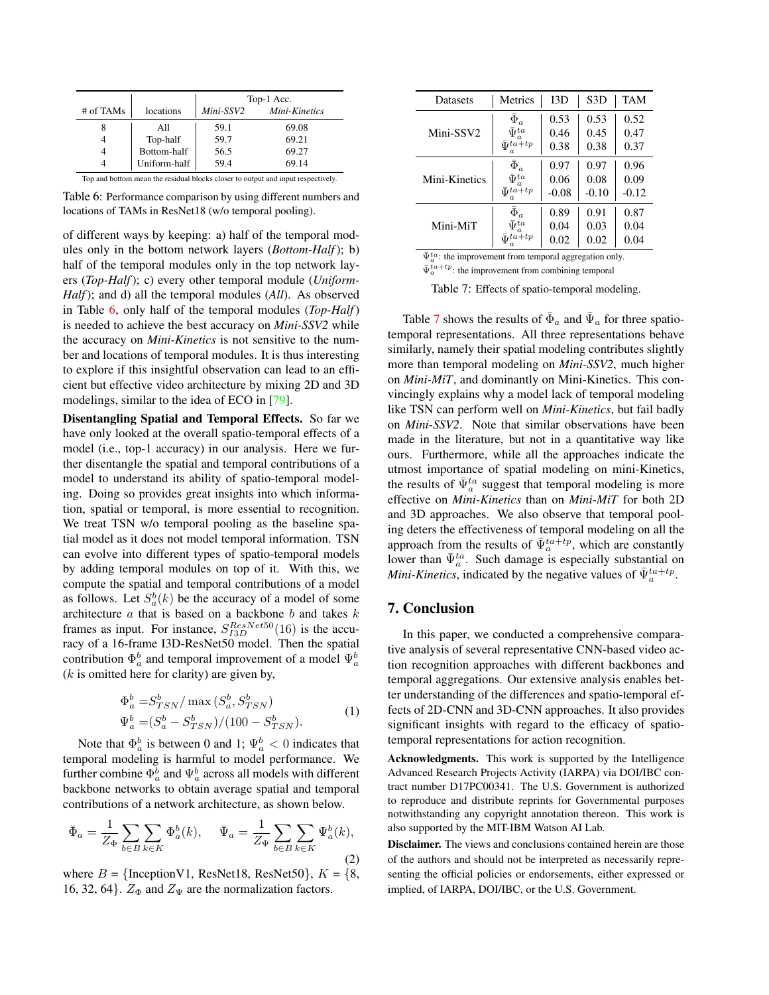|                                                                                  |              | Top-1 Acc. |               |  |  |  |
|----------------------------------------------------------------------------------|--------------|------------|---------------|--|--|--|
| # of TAMs                                                                        | locations    | Mini-SSV2  | Mini-Kinetics |  |  |  |
|                                                                                  | All          | 59.1       | 69.08         |  |  |  |
|                                                                                  | Top-half     | 59.7       | 69.21         |  |  |  |
|                                                                                  | Bottom-half  | 56.5       | 69.27         |  |  |  |
|                                                                                  | Uniform-half | 59.4       | 69.14         |  |  |  |
| Top and bottom mean the residual blocks closer to output and input respectively. |              |            |               |  |  |  |

Table 6: Performance comparison by using different numbers and locations of TAMs in ResNet18 (w/o temporal pooling).

of different ways by keeping: a) half of the temporal modules only in the bottom network layers (*Bottom-Half*); b) half of the temporal modules only in the top network layers (*Top-Half*); c) every other temporal module (*Uniform-Half*); and d) all the temporal modules (*All*). As observed in Table 6, only half of the temporal modules (*Top-Half*) is needed to achieve the best accuracy on *Mini-SSV2* while the accuracy on *Mini-Kinetics* is not sensitive to the number and locations of temporal modules. It is thus interesting to explore if this insightful observation can lead to an efficient but effective video architecture by mixing 2D and 3D modelings, similar to the idea of ECO in [79].

Disentangling Spatial and Temporal Effects. So far we have only looked at the overall spatio-temporal effects of a model (i.e., top-1 accuracy) in our analysis. Here we further disentangle the spatial and temporal contributions of a model to understand its ability of spatio-temporal modeling. Doing so provides great insights into which information, spatial or temporal, is more essential to recognition. We treat TSN w/o temporal pooling as the baseline spatial model as it does not model temporal information. TSN can evolve into different types of spatio-temporal models by adding temporal modules on top of it. With this, we compute the spatial and temporal contributions of a model as follows. Let  $S_a^b(k)$  be the accuracy of a model of some architecture  $a$  that is based on a backbone  $b$  and takes  $k$ frames as input. For instance,  $S_{I3D}^{ResNet50}(16)$  is the accuracy of a 16-frame I3D-ResNet50 model. Then the spatial contribution  $\Phi_a^b$  and temporal improvement of a model  $\Psi_a^b$  $(k$  is omitted here for clarity) are given by,

$$
\Phi_a^b = S_{TSN}^b / \max(S_a^b, S_{TSN}^b)
$$
  
\n
$$
\Psi_a^b = (S_a^b - S_{TSN}^b) / (100 - S_{TSN}^b).
$$
\n(1)

Note that  $\Phi_a^b$  is between 0 and 1;  $\Psi_a^b < 0$  indicates that temporal modeling is harmful to model performance. We further combine  $\Phi_a^b$  and  $\Psi_a^b$  across all models with different backbone networks to obtain average spatial and temporal contributions of a network architecture, as shown below.

$$
\bar{\Phi}_a = \frac{1}{Z_{\Phi}} \sum_{b \in B} \sum_{k \in K} \Phi_a^b(k), \quad \bar{\Psi}_a = \frac{1}{Z_{\Psi}} \sum_{b \in B} \sum_{k \in K} \Psi_a^b(k),
$$
\n(2)

where  $B = \{InceptionV1, ResNet18, ResNet50\}, K = \{8,$ 16, 32, 64}.  $Z_{\Phi}$  and  $Z_{\Psi}$  are the normalization factors.

| <b>Datasets</b> | <b>Metrics</b>       | 13D     | S <sub>3</sub> D | <b>TAM</b> |
|-----------------|----------------------|---------|------------------|------------|
|                 | $\bar\Phi_a$         | 0.53    | 0.53             | 0.52       |
| Mini-SSV2       | $\bar{\Psi}^{ta}$    | 0.46    | 0.45             | 0.47       |
|                 | $\bar{\Psi}^{ta+tp}$ | 0.38    | 0.38             | 0.37       |
|                 | $\bar\Phi_a$         | 0.97    | 0.97             | 0.96       |
| Mini-Kinetics   | $\bar{\Psi}^{ta}$    | 0.06    | 0.08             | 0.09       |
|                 | $\bar{\Psi}^{ta+tp}$ | $-0.08$ | $-0.10$          | $-0.12$    |
|                 | $\bar{\Phi}_a$       | 0.89    | 0.91             | 0.87       |
| Mini-MiT        | $\bar{\Psi}^{ta}$    | 0.04    | 0.03             | 0.04       |
|                 | $\Psi^{ta+tp}$       | 0.02    | 0.02             | 0.04       |

 $\bar{\Psi}_a^{ta}$ : the improvement from temporal aggregation only.

 $\bar{\Psi}_a^{ta+tp}$ : the improvement from combining temporal

Table 7: Effects of spatio-temporal modeling.

Table 7 shows the results of  $\bar{\Phi}_a$  and  $\bar{\Psi}_a$  for three spatiotemporal representations. All three representations behave similarly, namely their spatial modeling contributes slightly more than temporal modeling on *Mini-SSV2*, much higher on *Mini-MiT*, and dominantly on Mini-Kinetics. This convincingly explains why a model lack of temporal modeling like TSN can perform well on *Mini-Kinetics*, but fail badly on *Mini-SSV2*. Note that similar observations have been made in the literature, but not in a quantitative way like ours. Furthermore, while all the approaches indicate the utmost importance of spatial modeling on mini-Kinetics, the results of  $\bar{\Psi}_a^{ta}$  suggest that temporal modeling is more effective on *Mini-Kinetics* than on *Mini-MiT* for both 2D and 3D approaches. We also observe that temporal pooling deters the effectiveness of temporal modeling on all the approach from the results of  $\bar{\Psi}_a^{ta+tp}$ , which are constantly lower than  $\bar{\Psi}_a^{ta}$ . Such damage is especially substantial on *Mini-Kinetics*, indicated by the negative values of  $\bar{\Psi}_a^{ta+tp}$ .

# 7. Conclusion

In this paper, we conducted a comprehensive comparative analysis of several representative CNN-based video action recognition approaches with different backbones and temporal aggregations. Our extensive analysis enables better understanding of the differences and spatio-temporal effects of 2D-CNN and 3D-CNN approaches. It also provides significant insights with regard to the efficacy of spatiotemporal representations for action recognition.

Acknowledgments. This work is supported by the Intelligence Advanced Research Projects Activity (IARPA) via DOI/IBC contract number D17PC00341. The U.S. Government is authorized to reproduce and distribute reprints for Governmental purposes notwithstanding any copyright annotation thereon. This work is also supported by the MIT-IBM Watson AI Lab.

Disclaimer. The views and conclusions contained herein are those of the authors and should not be interpreted as necessarily representing the official policies or endorsements, either expressed or implied, of IARPA, DOI/IBC, or the U.S. Government.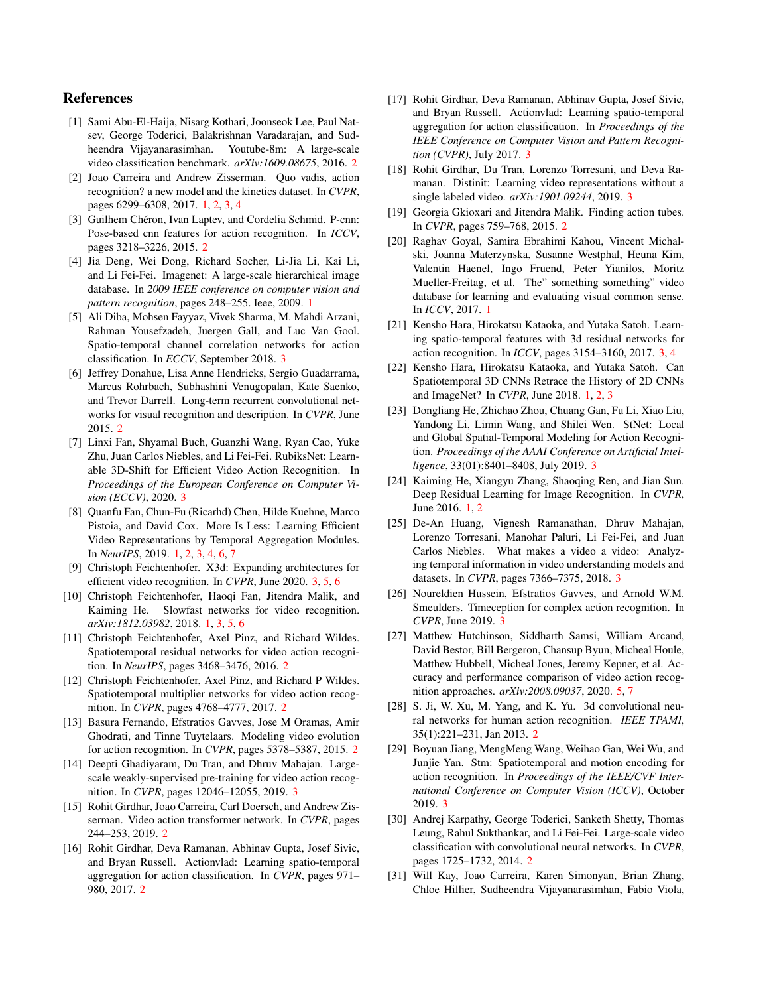## References

- [1] Sami Abu-El-Haija, Nisarg Kothari, Joonseok Lee, Paul Natsev, George Toderici, Balakrishnan Varadarajan, and Sudheendra Vijayanarasimhan. Youtube-8m: A large-scale video classification benchmark. *arXiv:1609.08675*, 2016. 2
- [2] Joao Carreira and Andrew Zisserman. Quo vadis, action recognition? a new model and the kinetics dataset. In *CVPR*, pages 6299–6308, 2017. 1, 2, 3, 4
- [3] Guilhem Chéron, Ivan Laptev, and Cordelia Schmid. P-cnn: Pose-based cnn features for action recognition. In *ICCV*, pages 3218–3226, 2015. 2
- [4] Jia Deng, Wei Dong, Richard Socher, Li-Jia Li, Kai Li, and Li Fei-Fei. Imagenet: A large-scale hierarchical image database. In *2009 IEEE conference on computer vision and pattern recognition*, pages 248–255. Ieee, 2009. 1
- [5] Ali Diba, Mohsen Fayyaz, Vivek Sharma, M. Mahdi Arzani, Rahman Yousefzadeh, Juergen Gall, and Luc Van Gool. Spatio-temporal channel correlation networks for action classification. In *ECCV*, September 2018. 3
- [6] Jeffrey Donahue, Lisa Anne Hendricks, Sergio Guadarrama, Marcus Rohrbach, Subhashini Venugopalan, Kate Saenko, and Trevor Darrell. Long-term recurrent convolutional networks for visual recognition and description. In *CVPR*, June 2015. 2
- [7] Linxi Fan, Shyamal Buch, Guanzhi Wang, Ryan Cao, Yuke Zhu, Juan Carlos Niebles, and Li Fei-Fei. RubiksNet: Learnable 3D-Shift for Efficient Video Action Recognition. In *Proceedings of the European Conference on Computer Vision (ECCV)*, 2020. 3
- [8] Quanfu Fan, Chun-Fu (Ricarhd) Chen, Hilde Kuehne, Marco Pistoia, and David Cox. More Is Less: Learning Efficient Video Representations by Temporal Aggregation Modules. In *NeurIPS*, 2019. 1, 2, 3, 4, 6, 7
- [9] Christoph Feichtenhofer. X3d: Expanding architectures for efficient video recognition. In *CVPR*, June 2020. 3, 5, 6
- [10] Christoph Feichtenhofer, Haoqi Fan, Jitendra Malik, and Kaiming He. Slowfast networks for video recognition. *arXiv:1812.03982*, 2018. 1, 3, 5, 6
- [11] Christoph Feichtenhofer, Axel Pinz, and Richard Wildes. Spatiotemporal residual networks for video action recognition. In *NeurIPS*, pages 3468–3476, 2016. 2
- [12] Christoph Feichtenhofer, Axel Pinz, and Richard P Wildes. Spatiotemporal multiplier networks for video action recognition. In *CVPR*, pages 4768–4777, 2017. 2
- [13] Basura Fernando, Efstratios Gavves, Jose M Oramas, Amir Ghodrati, and Tinne Tuytelaars. Modeling video evolution for action recognition. In *CVPR*, pages 5378–5387, 2015. 2
- [14] Deepti Ghadiyaram, Du Tran, and Dhruv Mahajan. Largescale weakly-supervised pre-training for video action recognition. In *CVPR*, pages 12046–12055, 2019. 3
- [15] Rohit Girdhar, Joao Carreira, Carl Doersch, and Andrew Zisserman. Video action transformer network. In *CVPR*, pages 244–253, 2019. 2
- [16] Rohit Girdhar, Deva Ramanan, Abhinav Gupta, Josef Sivic, and Bryan Russell. Actionvlad: Learning spatio-temporal aggregation for action classification. In *CVPR*, pages 971– 980, 2017. 2
- [17] Rohit Girdhar, Deva Ramanan, Abhinav Gupta, Josef Sivic, and Bryan Russell. Actionvlad: Learning spatio-temporal aggregation for action classification. In *Proceedings of the IEEE Conference on Computer Vision and Pattern Recognition (CVPR)*, July 2017. 3
- [18] Rohit Girdhar, Du Tran, Lorenzo Torresani, and Deva Ramanan. Distinit: Learning video representations without a single labeled video. *arXiv:1901.09244*, 2019. 3
- [19] Georgia Gkioxari and Jitendra Malik. Finding action tubes. In *CVPR*, pages 759–768, 2015. 2
- [20] Raghav Goyal, Samira Ebrahimi Kahou, Vincent Michalski, Joanna Materzynska, Susanne Westphal, Heuna Kim, Valentin Haenel, Ingo Fruend, Peter Yianilos, Moritz Mueller-Freitag, et al. The" something something" video database for learning and evaluating visual common sense. In *ICCV*, 2017. 1
- [21] Kensho Hara, Hirokatsu Kataoka, and Yutaka Satoh. Learning spatio-temporal features with 3d residual networks for action recognition. In *ICCV*, pages 3154–3160, 2017. 3, 4
- [22] Kensho Hara, Hirokatsu Kataoka, and Yutaka Satoh. Can Spatiotemporal 3D CNNs Retrace the History of 2D CNNs and ImageNet? In *CVPR*, June 2018. 1, 2, 3
- [23] Dongliang He, Zhichao Zhou, Chuang Gan, Fu Li, Xiao Liu, Yandong Li, Limin Wang, and Shilei Wen. StNet: Local and Global Spatial-Temporal Modeling for Action Recognition. *Proceedings of the AAAI Conference on Artificial Intelligence*, 33(01):8401–8408, July 2019. 3
- [24] Kaiming He, Xiangyu Zhang, Shaoqing Ren, and Jian Sun. Deep Residual Learning for Image Recognition. In *CVPR*, June 2016. 1, 2
- [25] De-An Huang, Vignesh Ramanathan, Dhruv Mahajan, Lorenzo Torresani, Manohar Paluri, Li Fei-Fei, and Juan Carlos Niebles. What makes a video a video: Analyzing temporal information in video understanding models and datasets. In *CVPR*, pages 7366–7375, 2018. 3
- [26] Noureldien Hussein, Efstratios Gavves, and Arnold W.M. Smeulders. Timeception for complex action recognition. In *CVPR*, June 2019. 3
- [27] Matthew Hutchinson, Siddharth Samsi, William Arcand, David Bestor, Bill Bergeron, Chansup Byun, Micheal Houle, Matthew Hubbell, Micheal Jones, Jeremy Kepner, et al. Accuracy and performance comparison of video action recognition approaches. *arXiv:2008.09037*, 2020. 5, 7
- [28] S. Ji, W. Xu, M. Yang, and K. Yu. 3d convolutional neural networks for human action recognition. *IEEE TPAMI*, 35(1):221–231, Jan 2013. 2
- [29] Boyuan Jiang, MengMeng Wang, Weihao Gan, Wei Wu, and Junjie Yan. Stm: Spatiotemporal and motion encoding for action recognition. In *Proceedings of the IEEE/CVF International Conference on Computer Vision (ICCV)*, October 2019. 3
- [30] Andrej Karpathy, George Toderici, Sanketh Shetty, Thomas Leung, Rahul Sukthankar, and Li Fei-Fei. Large-scale video classification with convolutional neural networks. In *CVPR*, pages 1725–1732, 2014. 2
- [31] Will Kay, Joao Carreira, Karen Simonyan, Brian Zhang, Chloe Hillier, Sudheendra Vijayanarasimhan, Fabio Viola,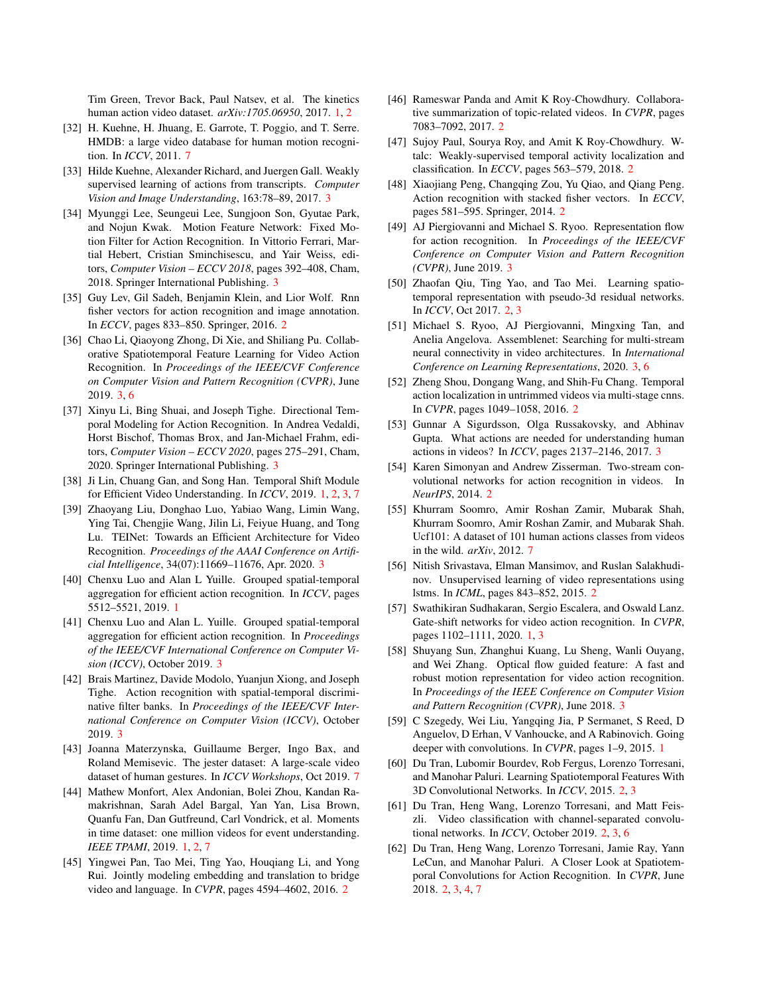Tim Green, Trevor Back, Paul Natsev, et al. The kinetics human action video dataset. *arXiv:1705.06950*, 2017. 1, 2

- [32] H. Kuehne, H. Jhuang, E. Garrote, T. Poggio, and T. Serre. HMDB: a large video database for human motion recognition. In *ICCV*, 2011. 7
- [33] Hilde Kuehne, Alexander Richard, and Juergen Gall. Weakly supervised learning of actions from transcripts. *Computer Vision and Image Understanding*, 163:78–89, 2017. 3
- [34] Myunggi Lee, Seungeui Lee, Sungjoon Son, Gyutae Park, and Nojun Kwak. Motion Feature Network: Fixed Motion Filter for Action Recognition. In Vittorio Ferrari, Martial Hebert, Cristian Sminchisescu, and Yair Weiss, editors, *Computer Vision – ECCV 2018*, pages 392–408, Cham, 2018. Springer International Publishing. 3
- [35] Guy Lev, Gil Sadeh, Benjamin Klein, and Lior Wolf. Rnn fisher vectors for action recognition and image annotation. In *ECCV*, pages 833–850. Springer, 2016. 2
- [36] Chao Li, Qiaoyong Zhong, Di Xie, and Shiliang Pu. Collaborative Spatiotemporal Feature Learning for Video Action Recognition. In *Proceedings of the IEEE/CVF Conference on Computer Vision and Pattern Recognition (CVPR)*, June 2019. 3, 6
- [37] Xinyu Li, Bing Shuai, and Joseph Tighe. Directional Temporal Modeling for Action Recognition. In Andrea Vedaldi, Horst Bischof, Thomas Brox, and Jan-Michael Frahm, editors, *Computer Vision – ECCV 2020*, pages 275–291, Cham, 2020. Springer International Publishing. 3
- [38] Ji Lin, Chuang Gan, and Song Han. Temporal Shift Module for Efficient Video Understanding. In *ICCV*, 2019. 1, 2, 3, 7
- [39] Zhaoyang Liu, Donghao Luo, Yabiao Wang, Limin Wang, Ying Tai, Chengjie Wang, Jilin Li, Feiyue Huang, and Tong Lu. TEINet: Towards an Efficient Architecture for Video Recognition. *Proceedings of the AAAI Conference on Artificial Intelligence*, 34(07):11669–11676, Apr. 2020. 3
- [40] Chenxu Luo and Alan L Yuille. Grouped spatial-temporal aggregation for efficient action recognition. In *ICCV*, pages 5512–5521, 2019. 1
- [41] Chenxu Luo and Alan L. Yuille. Grouped spatial-temporal aggregation for efficient action recognition. In *Proceedings of the IEEE/CVF International Conference on Computer Vision (ICCV)*, October 2019. 3
- [42] Brais Martinez, Davide Modolo, Yuanjun Xiong, and Joseph Tighe. Action recognition with spatial-temporal discriminative filter banks. In *Proceedings of the IEEE/CVF International Conference on Computer Vision (ICCV)*, October 2019. 3
- [43] Joanna Materzynska, Guillaume Berger, Ingo Bax, and Roland Memisevic. The jester dataset: A large-scale video dataset of human gestures. In *ICCV Workshops*, Oct 2019. 7
- [44] Mathew Monfort, Alex Andonian, Bolei Zhou, Kandan Ramakrishnan, Sarah Adel Bargal, Yan Yan, Lisa Brown, Quanfu Fan, Dan Gutfreund, Carl Vondrick, et al. Moments in time dataset: one million videos for event understanding. *IEEE TPAMI*, 2019. 1, 2, 7
- [45] Yingwei Pan, Tao Mei, Ting Yao, Houqiang Li, and Yong Rui. Jointly modeling embedding and translation to bridge video and language. In *CVPR*, pages 4594–4602, 2016. 2
- [46] Rameswar Panda and Amit K Roy-Chowdhury. Collaborative summarization of topic-related videos. In *CVPR*, pages 7083–7092, 2017. 2
- [47] Sujoy Paul, Sourya Roy, and Amit K Roy-Chowdhury. Wtalc: Weakly-supervised temporal activity localization and classification. In *ECCV*, pages 563–579, 2018. 2
- [48] Xiaojiang Peng, Changqing Zou, Yu Qiao, and Qiang Peng. Action recognition with stacked fisher vectors. In *ECCV*, pages 581–595. Springer, 2014. 2
- [49] AJ Piergiovanni and Michael S. Ryoo. Representation flow for action recognition. In *Proceedings of the IEEE/CVF Conference on Computer Vision and Pattern Recognition (CVPR)*, June 2019. 3
- [50] Zhaofan Qiu, Ting Yao, and Tao Mei. Learning spatiotemporal representation with pseudo-3d residual networks. In *ICCV*, Oct 2017. 2, 3
- [51] Michael S. Ryoo, AJ Piergiovanni, Mingxing Tan, and Anelia Angelova. Assemblenet: Searching for multi-stream neural connectivity in video architectures. In *International Conference on Learning Representations*, 2020. 3, 6
- [52] Zheng Shou, Dongang Wang, and Shih-Fu Chang. Temporal action localization in untrimmed videos via multi-stage cnns. In *CVPR*, pages 1049–1058, 2016. 2
- [53] Gunnar A Sigurdsson, Olga Russakovsky, and Abhinav Gupta. What actions are needed for understanding human actions in videos? In *ICCV*, pages 2137–2146, 2017. 3
- [54] Karen Simonyan and Andrew Zisserman. Two-stream convolutional networks for action recognition in videos. In *NeurIPS*, 2014. 2
- [55] Khurram Soomro, Amir Roshan Zamir, Mubarak Shah, Khurram Soomro, Amir Roshan Zamir, and Mubarak Shah. Ucf101: A dataset of 101 human actions classes from videos in the wild. *arXiv*, 2012. 7
- [56] Nitish Srivastava, Elman Mansimov, and Ruslan Salakhudinov. Unsupervised learning of video representations using lstms. In *ICML*, pages 843–852, 2015. 2
- [57] Swathikiran Sudhakaran, Sergio Escalera, and Oswald Lanz. Gate-shift networks for video action recognition. In *CVPR*, pages 1102–1111, 2020. 1, 3
- [58] Shuyang Sun, Zhanghui Kuang, Lu Sheng, Wanli Ouyang, and Wei Zhang. Optical flow guided feature: A fast and robust motion representation for video action recognition. In *Proceedings of the IEEE Conference on Computer Vision and Pattern Recognition (CVPR)*, June 2018. 3
- [59] C Szegedy, Wei Liu, Yangqing Jia, P Sermanet, S Reed, D Anguelov, D Erhan, V Vanhoucke, and A Rabinovich. Going deeper with convolutions. In *CVPR*, pages 1–9, 2015. 1
- [60] Du Tran, Lubomir Bourdev, Rob Fergus, Lorenzo Torresani, and Manohar Paluri. Learning Spatiotemporal Features With 3D Convolutional Networks. In *ICCV*, 2015. 2, 3
- [61] Du Tran, Heng Wang, Lorenzo Torresani, and Matt Feiszli. Video classification with channel-separated convolutional networks. In *ICCV*, October 2019. 2, 3, 6
- [62] Du Tran, Heng Wang, Lorenzo Torresani, Jamie Ray, Yann LeCun, and Manohar Paluri. A Closer Look at Spatiotemporal Convolutions for Action Recognition. In *CVPR*, June 2018. 2, 3, 4, 7